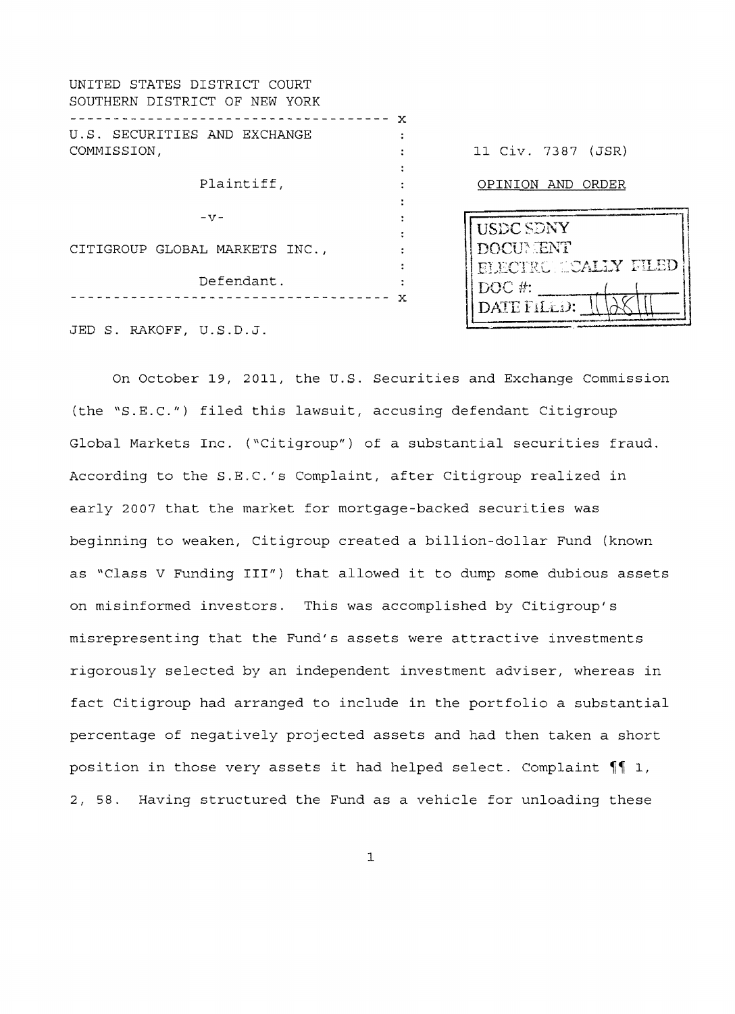| UNITED STATES DISTRICT COURT<br>SOUTHERN DISTRICT OF NEW YORK |              |                                         |
|---------------------------------------------------------------|--------------|-----------------------------------------|
| U.S. SECURITIES AND EXCHANGE                                  | $\mathbf{x}$ |                                         |
| COMMISSION,                                                   |              | 11 Civ. 7387 (JSR)                      |
| Plaintiff,                                                    |              | OPINION AND ORDER                       |
| $-V -$                                                        |              | <b>USDC SDNY</b>                        |
| CITIGROUP GLOBAL MARKETS INC.,                                |              | DOCUMENT<br><b>ELECTRONICALLY FILED</b> |
| Defendant.                                                    | $\mathbf x$  | $DOC$ #:                                |
| JED S. RAKOFF, U.S.D.J.                                       |              | DATE FILLD:                             |

On October 19, 2011, the U.S. Securities and Exchange Commission (the "S.E.C.") filed this lawsuit, accusing defendant Citigroup Global Markets Inc. ("Citigroup") of a substantial securities fraud. According to the S.E.C.'s Complaint, after Citigroup realized in early 2007 that the market for mortgage-backed securities was beginning to weaken, Citigroup created a billion-dollar Fund (known as "Class V Funding III") that allowed it to dump some dubious assets on misinformed investors. This was accomplished by Citigroup's misrepresenting that the Fund's assets were attractive investments rigorously selected by an independent investment adviser, whereas in fact Citigroup had arranged to include in the portfolio a substantial percentage of negatively projected assets and had then taken a short position in those very assets it had helped select. Complaint  $\P$  1, 2, 58. Having structured the Fund as a vehicle for unloading these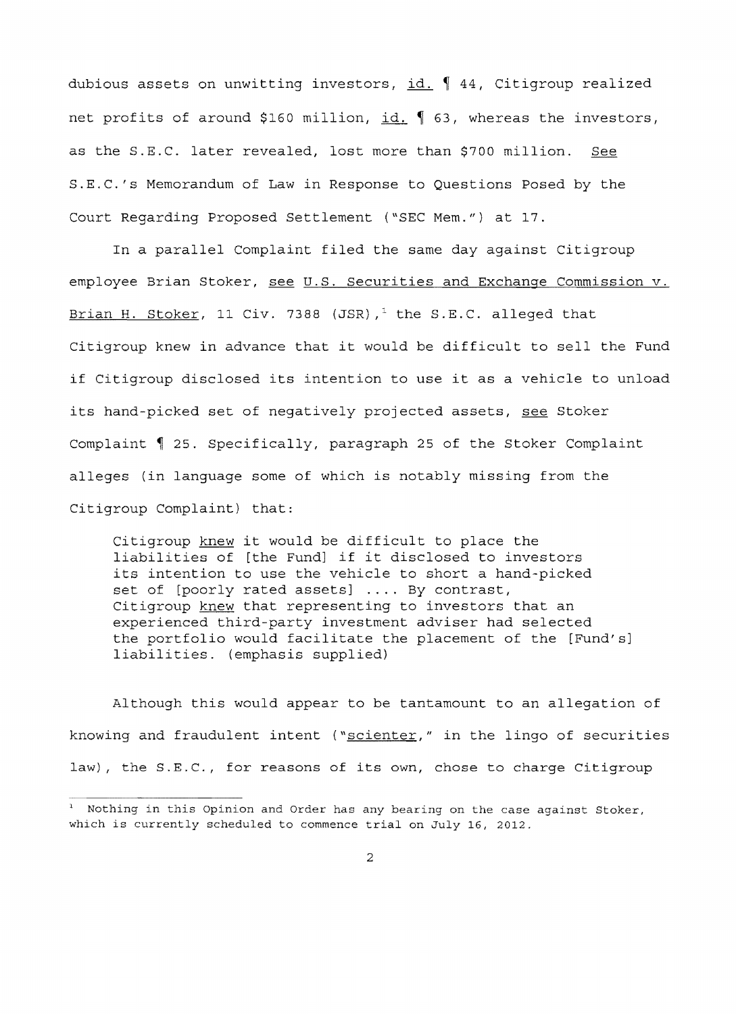dubious assets on unwitting investors,  $id. \nmid 44$ , Citigroup realized net profits of around \$160 million, id. 1 63, whereas the investors, as the S.E.C. later revealed, lost more than \$700 million. See S.E.C.'s Memorandum of Law in Response to Questions Posed by the Court Regarding Proposed Settlement ("SEC Mem.") at 17.

In a parallel Complaint filed the same day against Citigroup employee Brian Stoker, see U.S. Securities and Exchange Commission v. Brian H. Stoker, 11 Civ. 7388 (JSR),<sup>1</sup> the S.E.C. alleged that Citigroup knew in advance that it would be difficult to sell the Fund if Citigroup disclosed its intention to use it as a vehicle to unload its hand-picked set of negatively projected assets, see Stoker Complaint 1 25. Specifically, paragraph 25 of the Stoker Complaint alleges (in language some of which is notably missing from the Citigroup Complaint) that:

Citigroup knew it would be difficult to place the liabilities of [the Fund] if it disclosed to investors its intention to use the vehicle to short a hand-picked set of [poorly rated assets] .... By contrast, Citigroup knew that representing to investors that an experienced third-party investment adviser had selected the portfolio would facilitate the placement of the [Fund's] liabilities. (emphasis supplied)

Although this would appear to be tantamount to an allegation of knowing and fraudulent intent ("scienter," in the lingo of securities law), the S.E.C., for reasons of its own, chose to charge Citigroup

<sup>&</sup>lt;sup>1</sup> Nothing in this Opinion and Order has any bearing on the case against Stoker, which is currently scheduled to commence trial on July 16, 2012.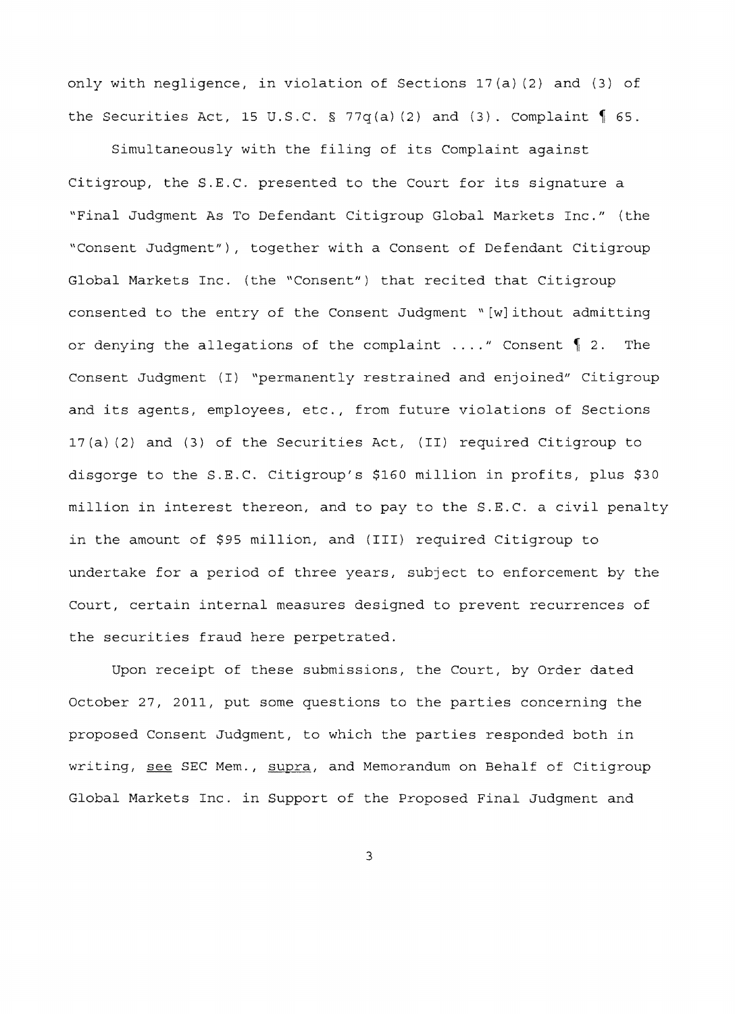only with negligence, in violation of Sections l7(a) (2) and (3) of the Securities Act, 15 U.S.C. § 77q(a)(2) and (3). Complaint  $\oint$  65.

Simultaneously with the filing of its Complaint against Citigroup, the S.E.C. presented to the Court for its signature a "Final Judgment As To Defendant Citigroup Global Markets Inc." (the "Consent Judqment"), together with a Consent of Defendant Citigroup Global Markets Inc. (the "Consent") that recited that Citigroup consented to the entry of the Consent Judgment" [w]ithout admitting or denying the allegations of the complaint ...." Consent 1 2. The Consent Judgment (I) "permanently restrained and enjoined" Citigroup and its agents, employees, etc., from future violations of Sections l7(a) (2) and (3) of the Securities Act, (II) required Citigroup to disgorge to the S.E.C. Citigroup's \$160 million in profits, plus \$30 million in interest thereon, and to pay to the S.E.C. a civil penalty in the amount of \$95 million, and (III) required Citigroup to undertake for a period of three years, subject to enforcement by the Court, certain internal measures designed to prevent recurrences of the securities fraud here perpetrated.

Upon receipt of these submissions, the Court, by Order dated October 27, 2011, put some questions to the parties concerning the proposed Consent Judgment, to which the parties responded both in writing, see SEC Mem., supra, and Memorandum on Behalf of Citigroup Global Markets Inc. in Support of the Proposed Final Judgment and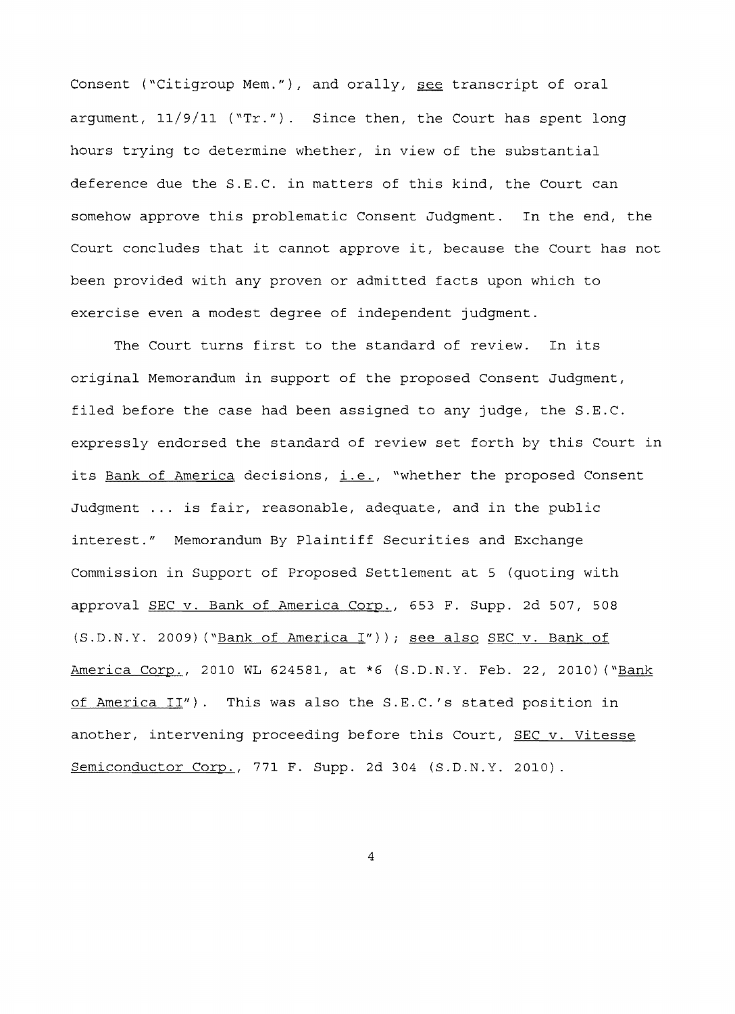Consent ("Citigroup Mem."), and orally, see transcript of oral argument,  $11/9/11$  ("Tr."). Since then, the Court has spent long hours trying to determine whether, in view of the substantial deference due the S.E.C. in matters of this kind, the Court can somehow approve this problematic Consent Judgment. In the end, the Court concludes that it cannot approve it, because the Court has not been provided with any proven or admitted facts upon which to exercise even a modest degree of independent judgment.

The Court turns first to the standard of review. In its original Memorandum in support of the proposed Consent Judgment, filed before the case had been assigned to any judge, the S.E.C. expressly endorsed the standard of review set forth by this Court in its Bank of America decisions, i.e., "whether the proposed Consent Judgment ... is fair, reasonable, adequate, and in the public interest." Memorandum By Plaintiff Securities and Exchange Commission in Support of Proposed Settlement at 5 (quoting with approval SEC v. Bank of America Corp., 653 F. Supp. 2d 507, 508 (S.D.N.Y. 2009) ("Bank of America I")); see also SEC v. Bank of America Corp., 2010 WL 624581, at \*6 (S.D.N.Y. Feb. 22, 2010) ("Bank of America II"). This was also the S.E.C.'s stated position in another, intervening proceeding before this Court, SEC v. Vitesse Semiconductor Corp., 771 F. Supp. 2d 304 (S.D.N.Y. 2010).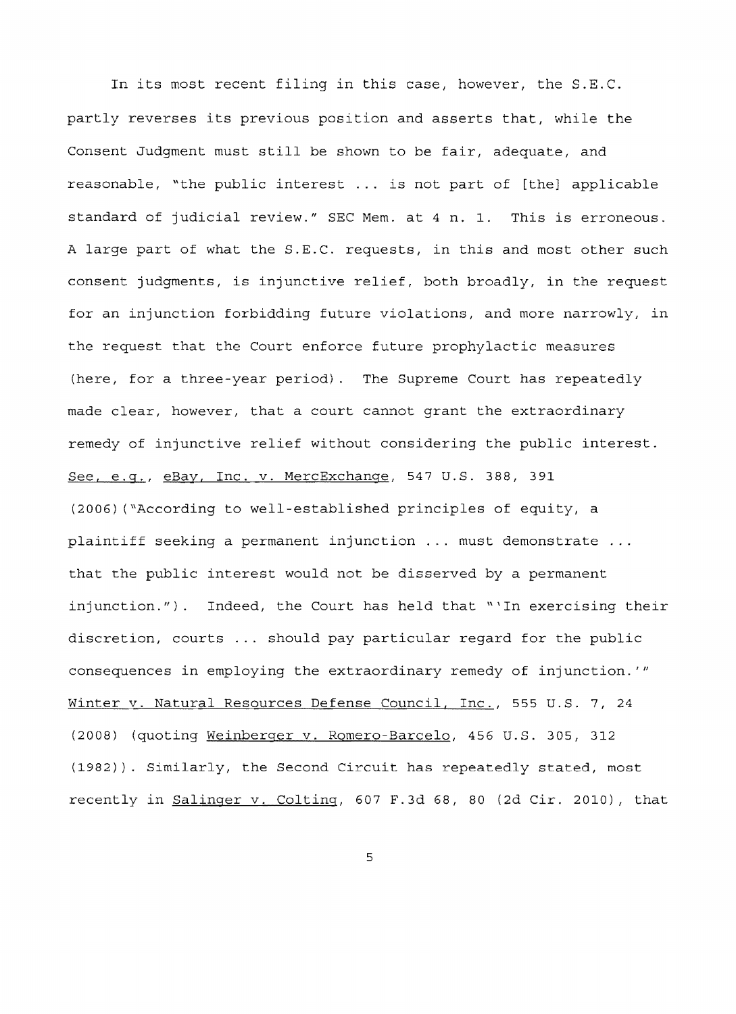In its most recent filing in this case, however, the S.E.C. partly reverses its previous position and asserts that, while the Consent Judgment must still be shown to be fair, adequate, and reasonable, "the public interest ... is not part of [the] applicable standard of judicial review." SEC Mem. at 4 n. 1. This is erroneous. A large part of what the S.E.C. requests, in this and most other such consent judgments, is injunctive relief, both broadly, in the request for an injunction forbidding future violations, and more narrowly, in the request that the Court enforce future prophylactic measures (here, for a three-year period). The Supreme Court has repeatedly made clear, however, that a court cannot grant the extraordinary remedy of injunctive relief without considering the public interest. See, e.g., eBay, Inc. v. MercExchange, 547 U.S. 388, 391 (2006) ("According to well-established principles of equity, a plaintiff seeking a permanent injunction ... must demonstrate ... that the public interest would not be disserved by a permanent injunction."). Indeed, the Court has held that "'In exercising their discretion, courts ... should pay particular regard for the public consequences in employing the extraordinary remedy of injunction. *"'*  Winter v. Natural Resources Defense Council, Inc., 555 U.S. 7, 24 (2008) (quoting Weinberger v. Romero-Barcelo, 456 U.S. 305, 312 (1982)). Similarly, the Second Circuit has repeatedly stated, most recently in Salinger v. Colting, 607 F.3d 68, 80 (2d Cir. 2010), that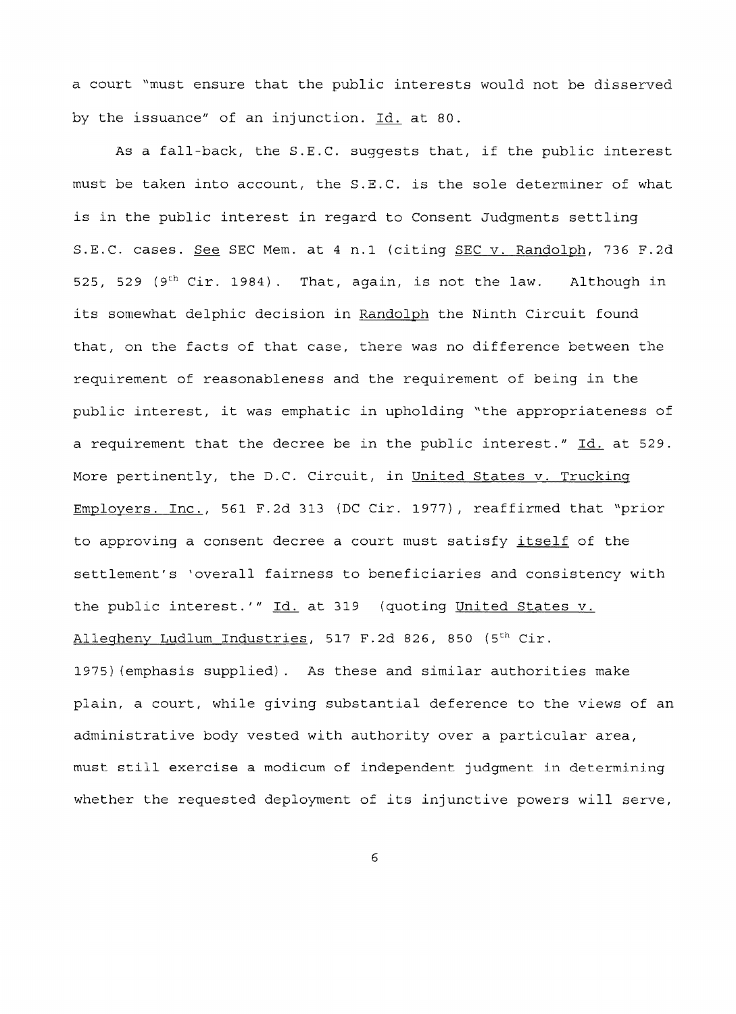a court "must ensure that the public interests would not be disserved by the issuance" of an injunction. Id. at 80.

As a fall-back, the S.E.C. suggests that, if the public interest must be taken into account, the S.E.C. is the sole determiner of what is in the public interest in regard to Consent Judgments settling S.E.C. cases. See SEC Mem. at 4 n.1 (citing SEC v. Randolph, 736 F.2d 525, 529 (9<sup>th</sup> Cir. 1984). That, again, is not the law. Although in its somewhat delphic decision in Randolph the Ninth Circuit found that, on the facts of that case, there was no difference between the requirement of reasonableness and the requirement of being in the public interest, it was emphatic in upholding "the appropriateness of a requirement that the decree be in the public interest."  $\underline{Id.}$  at 529. More pertinently, the D.C. Circuit, in United States v. Trucking Employers. Inc., 561 F.2d 313 (DC Cir. 1977), reaffirmed that "prior to approving a consent decree a court must satisfy itself of the settlement's 'overall fairness to beneficiaries and consistency with the public interest.'" Id. at 319 (quoting United States v. Allegheny Ludlum Industries, 517 F.2d 826, 850 (5<sup>th</sup> Cir. 1975) (emphasis supplied). As these and similar authorities make plain, a court, while giving substantial deference to the views of an

administrative body vested with authority over a particular area, must still exercise a modicum of independent judgment in determining whether the requested deployment of its injunctive powers will serve,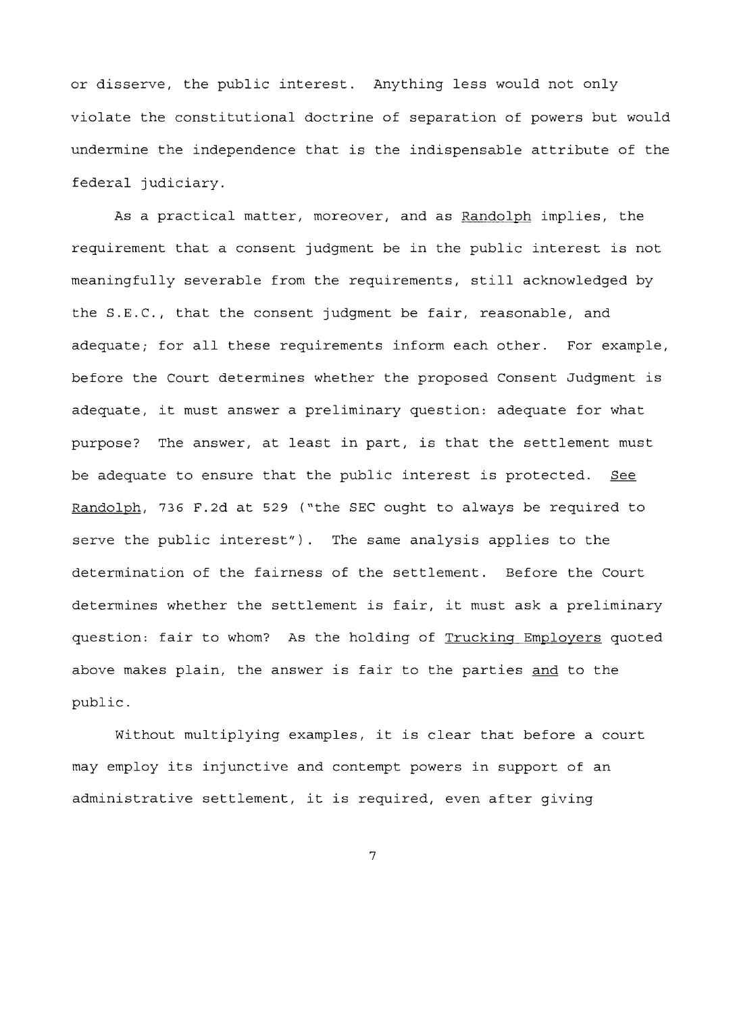or disserve, the public interest. Anything less would not only violate the constitutional doctrine of separation of powers but would undermine the independence that is the indispensable attribute of the federal judiciary.

As a practical matter, moreover, and as Randolph implies, the requirement that a consent judgment be in the public interest is not meaningfully severable from the requirements, still acknowledged by the S.E.C., that the consent judgment be fair, reasonable, and adequate; for all these requirements inform each other. For example, before the Court determines whether the proposed Consent Judgment is adequate, it must answer a preliminary question: adequate for what purpose? The answer, at least in part, is that the settlement must be adequate to ensure that the public interest is protected. See Randolph, 736 F.2d at 529 ("the SEC ought to always be required to serve the public interest"). The same analysis applies to the determination of the fairness of the settlement. Before the Court determines whether the settlement is fair, it must ask a preliminary question: fair to whom? As the holding of Trucking Employers quoted above makes plain, the answer is fair to the parties and to the public.

without multiplying examples, it is clear that before a court may employ its injunctive and contempt powers in support of an administrative settlement, it is required, even after giving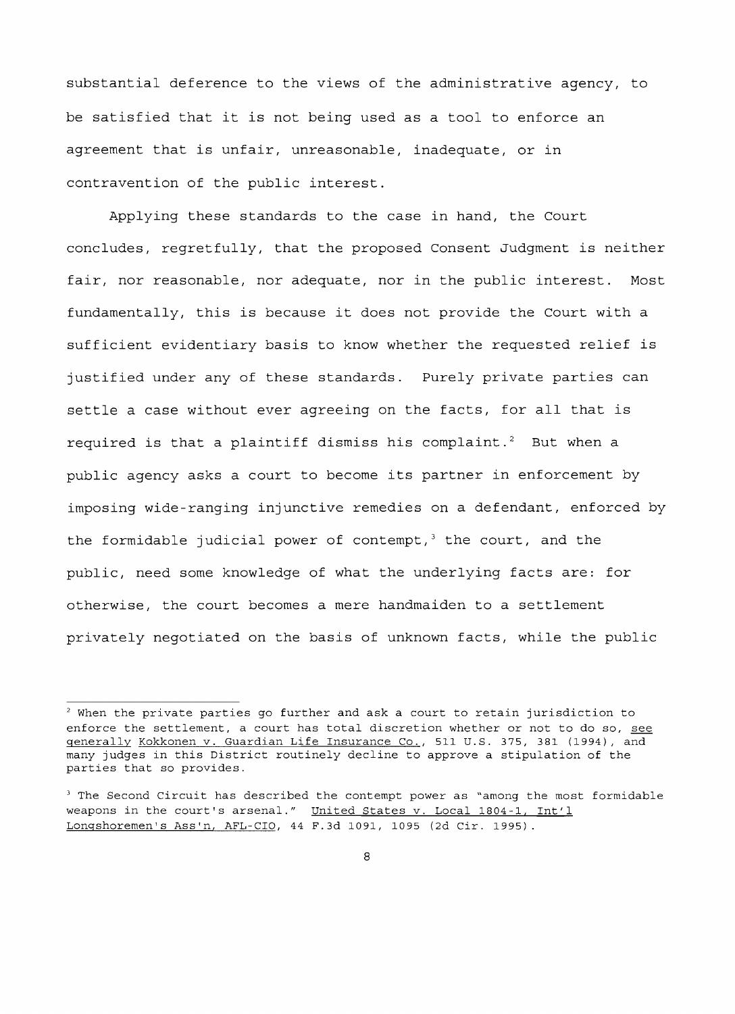substantial deference to the views of the administrative agency, to be satisfied that it is not being used as a tool to enforce an agreement that is unfair, unreasonable, inadequate, or in contravention of the public interest.

Applying these standards to the case in hand, the Court concludes, regretfully, that the proposed Consent Judgment is neither fair, nor reasonable, nor adequate, nor in the public interest. Most fundamentally, this is because it does not provide the Court with a sufficient evidentiary basis to know whether the requested relief is justified under any of these standards. Purely private parties can settle a case without ever agreeing on the facts, for all that is required is that a plaintiff dismiss his complaint.<sup>2</sup> But when a public agency asks a court to become its partner in enforcement by imposing wide-ranging injunctive remedies on a defendant, enforced by the formidable judicial power of contempt, $3$  the court, and the public, need some knowledge of what the underlying facts are: for otherwise, the court becomes a mere handmaiden to a settlement privately negotiated on the basis of unknown facts, while the public

 $2$  When the private parties go further and ask a court to retain jurisdiction to enforce the settlement, a court has total discretion whether or not to do so, see generally Kokkonen v. Guardian Life Insurance Co., 511 U.S. 375, 381 (1994), and many judges in this District routinely decline to approve a stipulation of the parties that so provides.

<sup>&</sup>lt;sup>3</sup> The Second Circuit has described the contempt power as "among the most formidable weapons in the court's arsenal." United States v. Local 1804-1, Int'l Longshoremen's Ass'n, AFL-CIO, 44 F.3d 1091, 1095 (2d Cir. 1995).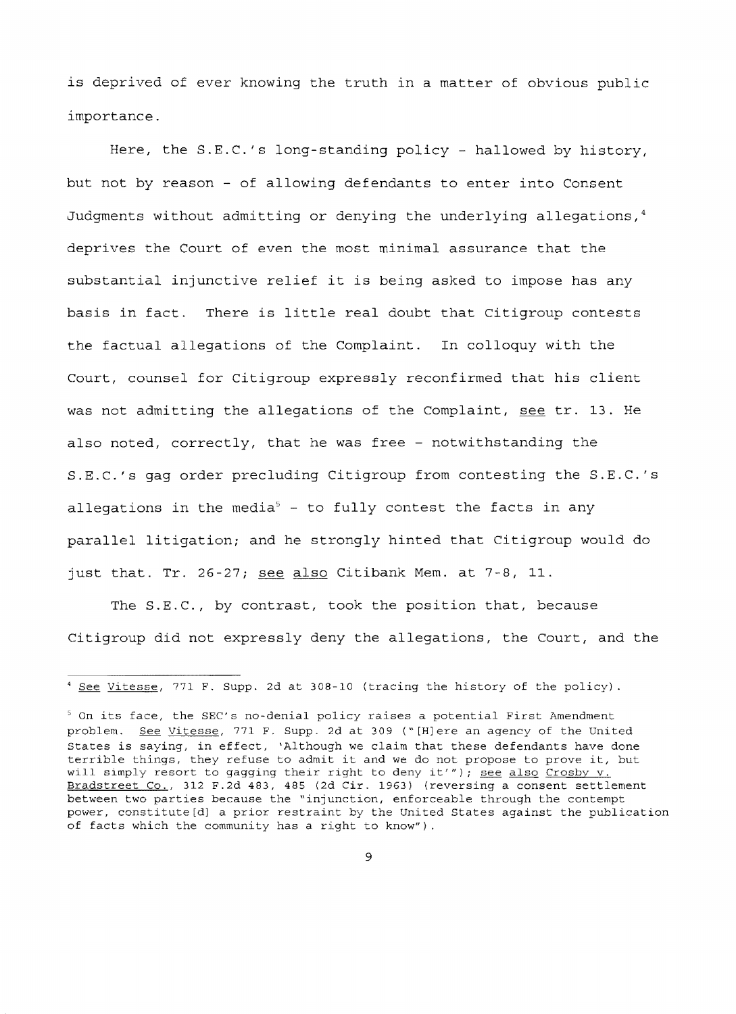is deprived of ever knowing the truth in a matter of obvious public importance.

Here, the S.E.C.'s long-standing policy - hallowed by history, but not by reason - of allowing defendants to enter into Consent Judgments without admitting or denying the underlying allegations,<sup>4</sup> deprives the Court of even the most minimal assurance that the substantial injunctive relief it is being asked to impose has any basis in There is little real doubt that Citigroup contests the factual allegations of the Complaint. In colloquy with the Court, counsel for Citigroup expressly reconfirmed that his client was not admitting the allegations of the Complaint, see tr. 13. He also noted, correctly, that he was free - notwithstanding the S.E.C.'s gag order precluding Citigroup from contesting the S.E.C.'s allegations in the media<sup>5</sup> - to fully contest the facts in any parallel litigation; and he strongly hinted that Citigroup would do just that. Tr. 26-27; see also Citibank Mem. at  $7-8$ , 11.

The S.E.C., by contrast, took the position that, because Citigroup did not expressly deny the allegations, the Court, and the

<sup>4</sup> See Vitesse, 771 F. Supp. 2d at 308-10 (tracing the history of the policy) .

 $5$  On its face, the SEC's no-denial policy raises a potential First Amendment problem. See Vitesse, 771 F. Supp. 2d at 309 ("[H]ere an agency of the United States is saying, in effect, 'Although we claim that these defendants have done terrible things, they refuse to admit it and we do not propose to prove it, but will simply resort to gagging their right to deny it'"); see also Crosby v. Bradstreet Co., 312 F.2d 483, 485 (2d Cir. 1963) (reversing a consent settlement between two parties because the "injunction, enforceable through the contempt power, constitute[d] a prior restraint by the United States against the publication of facts which the community has a right to know").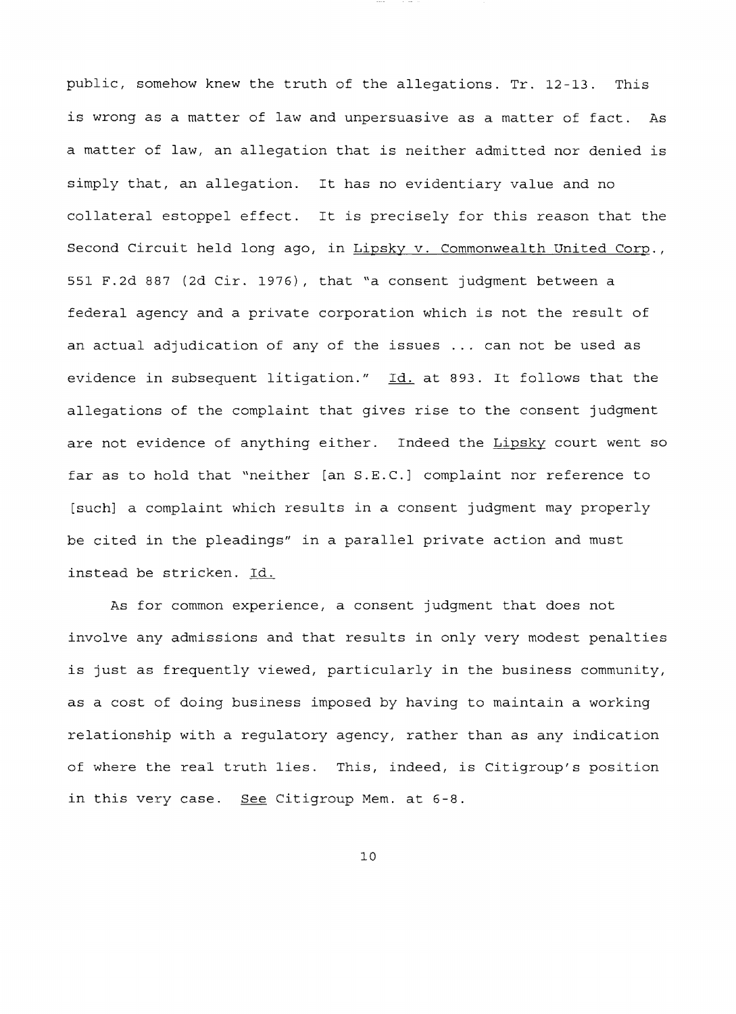public, somehow knew the truth of the allegations. Tr. 12-13. This is wrong as a matter of law and unpersuasive as a matter of fact. As a matter of law, an allegation that is neither admitted nor denied simply that, an allegation. It has no evidentiary value and no collateral estoppel effect. It is precisely for this reason that the Second Circuit held long ago, in Lipsky v. Commonwealth United Corp., 551 F.2d 887 (2d Cir. 1976), that "a consent judgment between a federal agency and a private corporation which is not the result of an actual adjudication of any of the issues ... can not be used as evidence in subsequent litigation." Id. at 893. It follows that the allegations of the complaint that gives rise to the consent judgment are not evidence of anything either. Indeed the Lipsky court went so far as to hold that "neither [an S.E.C.] complaint nor reference to [such] a complaint which results in a consent judgment may properly be cited in the pleadings" in a parallel private action and must instead be stricken. Id.

As for common experience, a consent judgment that does not involve any admissions and that results in only very modest penalties is just as frequently viewed, particularly in the business community, as a cost of doing business imposed by having to maintain a working relationship with a regulatory agency, rather than as any indication of where the real truth lies. This, indeed, is Citigroup's position in this very case. See Citigroup Mem. at 6-8.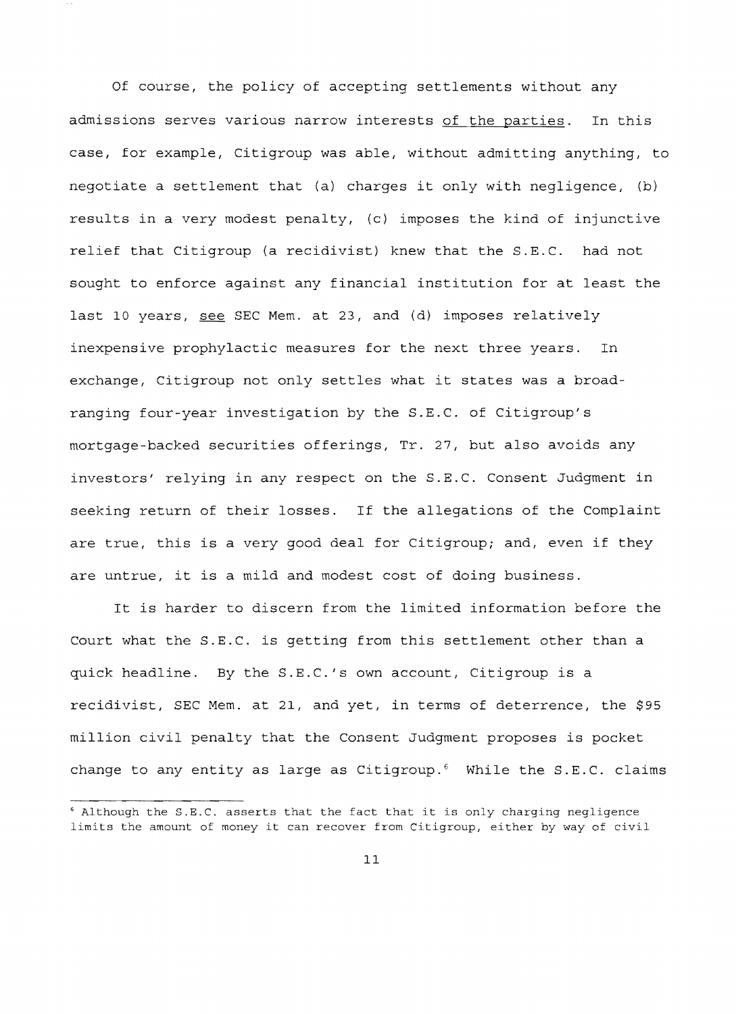Of course, the policy of accepting settlements without any admissions serves various narrow interests of the parties. In this case, for example, Citigroup was able, without admitting anything, to negotiate a settlement that (a) charges it only with negligence, (b) results in a very modest penalty, (c) imposes the kind of injunctive relief that Citigroup (a recidivist) knew that the S.E.C. had not sought to enforce against any financial institution for at least the last 10 years, see SEC Mem. at 23, and (d) imposes relatively inexpensive prophylactic measures for the next three years. In exchange, Citigroup not only settles what it states was a broadranging four-year investigation by the S.E.C. of Citigroup's mortgage-backed securities offerings, Tr. 27, but also avoids any investors' relying in any respect on the S.E.C. Consent Judgment in seeking return of their losses. If the allegations of the Complaint are true, this is a very good deal for Citigroup; and, even if they are untrue, it is a mild and modest cost of doing business.

It is harder to discern from the limited information before the Court what the S.E.C. is getting from this settlement other than a quick headline. By the S.E.C.'s own account, Citigroup is a recidivist, SEC Mem. at 21, and yet, in terms of deterrence, the \$95 million civil penalty that the Consent Judgment proposes is pocket change to any entity as large as Citigroup.<sup>6</sup> While the S.E.C. claims

<sup>.&</sup>lt;br>Although the S.E.C. asserts that the fact that it is only charging negligence limits the amount of money it can recover from Citigroup, either by way of civil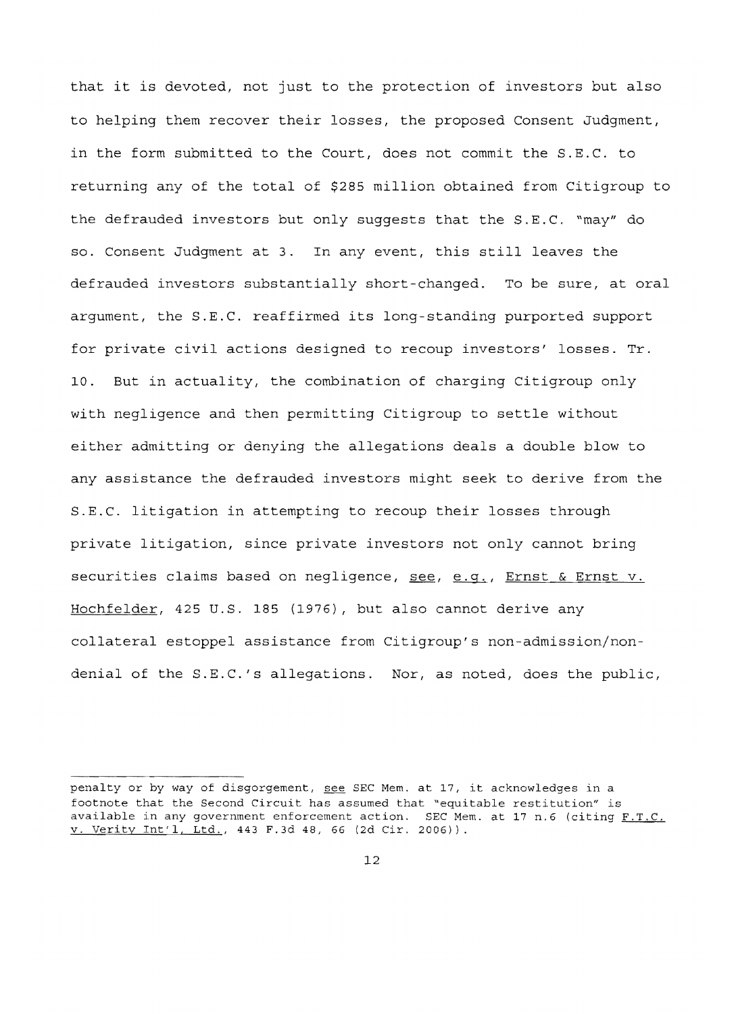that it is devoted, not just to the protection of investors but also to helping them recover their losses, the proposed Consent Judgment, in the form submitted to the Court, does not commit the S.E.C. to returning any of the total of \$285 million obtained from Citigroup to the defrauded investors but only suggests that the S.E.C. "may" do so. Consent Judgment at 3. In any event, this still leaves the defrauded investors substantially short-changed. To be sure, at oral argument, the S.E.C. reaffirmed its long standing purported support for private civil actions designed to recoup investors' losses. Tr. 10. But in actuality, the combination of charging Citigroup only with negligence and then permitting Citigroup to settle without either admitting or denying the allegations deals a double blow to any assistance the defrauded investors might seek to derive from the S.E.C. litigation in attempting to recoup their losses through private litigation, since private investors not only cannot bring securities claims based on negligence, see, e.g., Ernst & Ernst v. Hochfelder, 425 U.S. 185 (1976), but also cannot derive any collateral estoppel assistance from Citigroup's non admission/nondenial of the S.E.C.'s allegations. Nor, as noted, does the public,

penalty or by way of disgorgement, see SEC Mem. at 17, it acknowledges in a footnote that the Second Circuit has assumed that "equitable restitution" is available in any government enforcement action. SEC Mem. at 17 n.6 (citing  $F.T.C.$ v. Verity lnt'l, Ltd., 443 F.3d 48, 66 (2d Cir. 2006)).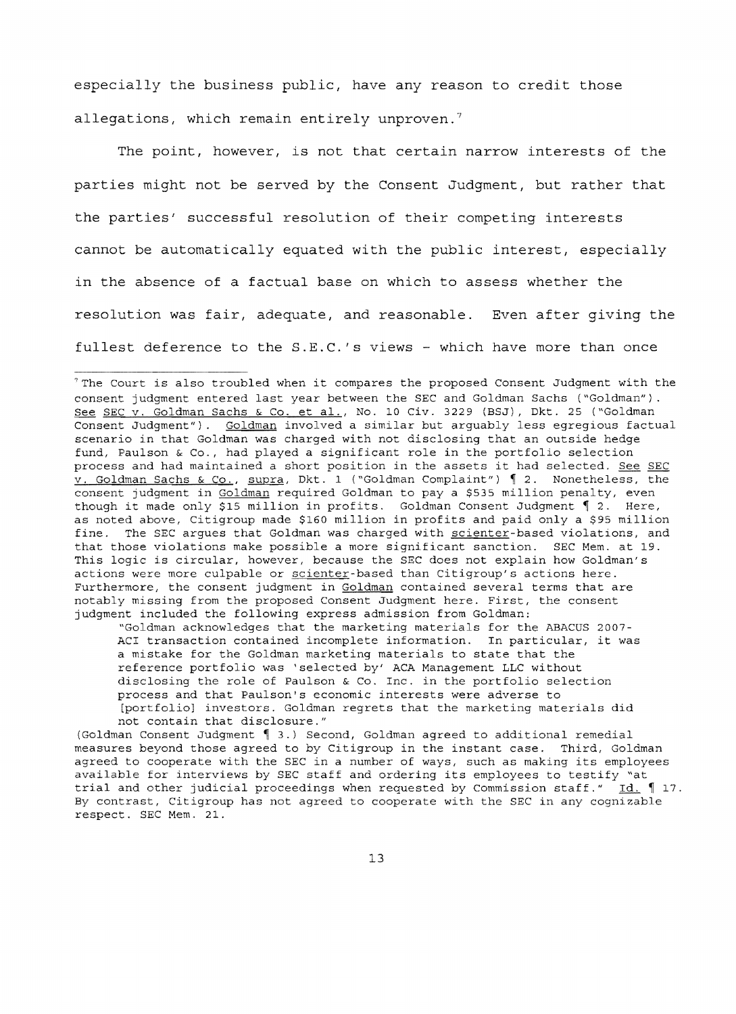especially the business public, have any reason to credit those allegations, which remain entirely unproven.<sup>7</sup>

The point, however, is not that certain narrow interests of the parties might not be served by the Consent Judgment, but rather that the parties' successful resolution of their competing interests cannot be automatically equated with the public interest, especially in the absence of a factual base on which to assess whether the resolution was fair, adequate, and reasonable. Even after giving the fullest deference to the S.E.C.'s views - which have more than once

"Goldman acknowledges that the marketing materials for the ABACUS 2007 ACI transaction contained incomplete information. In particular, it was a mistake for the Goldman marketing materials to state that the reference portfolio was 'selected by' ACA Management LLC without disclosing the role of Paulson & Co. Inc. in the portfolio selection process and that Paulson's economic interests were adverse to [portfolio] investors. Goldman regrets that the marketing materials did not contain that disclosure."

(Goldman Consent Judgment  $\int$  3.) Second, Goldman agreed to additional remedial measures beyond those agreed to by Citigroup in the instant case. Third, Goldman agreed to cooperate with the SEC in a number of ways, such as making its employees available for interviews by SEC staff and ordering its employees to testify "at trial and other judicial proceedings when requested by Commission staff."  $\underline{Id}$ .  $\P$  17. By contrast, Citigroup has not agreed to cooperate with the SEC in any cognizable respect. SEC Mem. 21.

<sup>&</sup>quot;The Court is also troubled when it compares the proposed Consent Judgment with the consent judgment entered last year between the SEC and Goldman Sachs ("Goldman"). See SEC v. Goldman Sachs & Co. et al., No. 10 Civ. 3229 (BSJ), Dkt. 25 ("Goldman Consent Judgment"). Goldman involved a similar but arguably less egregious factual scenario in that Goldman was charged with not disclosing that an outside hedge fund, Paulson & Co., had played a significant role in the portfolio selection process and had maintained a short position in the assets it had selected. See SEC  $\overline{v}$ . Goldman Sachs & Co., supra, Dkt. 1 ("Goldman Complaint")  $\int$  2. Nonetheless, the consent judgment in Goldman required Goldman to pay a \$535 million penalty, even though it made only \$15 million in profits. Goldman Consent Judgment  $\lceil$  2. Here, as noted above, Citigroup made \$160 million in profits and paid only a \$95 million fine. The SEC argues that Goldman was charged with scienter-based violations, and that those violations make possible a more significant sanction. SEC Mem. at 19. This logic is circular, however, because the SEC does not explain how Goldman's actions were more culpable or scienter-based than Citigroup's actions here. Furthermore, the consent judgment in Goldman contained several terms that are notably missing from the proposed Consent Judgment here. First, the consent judgment included the following express admission from Goldman: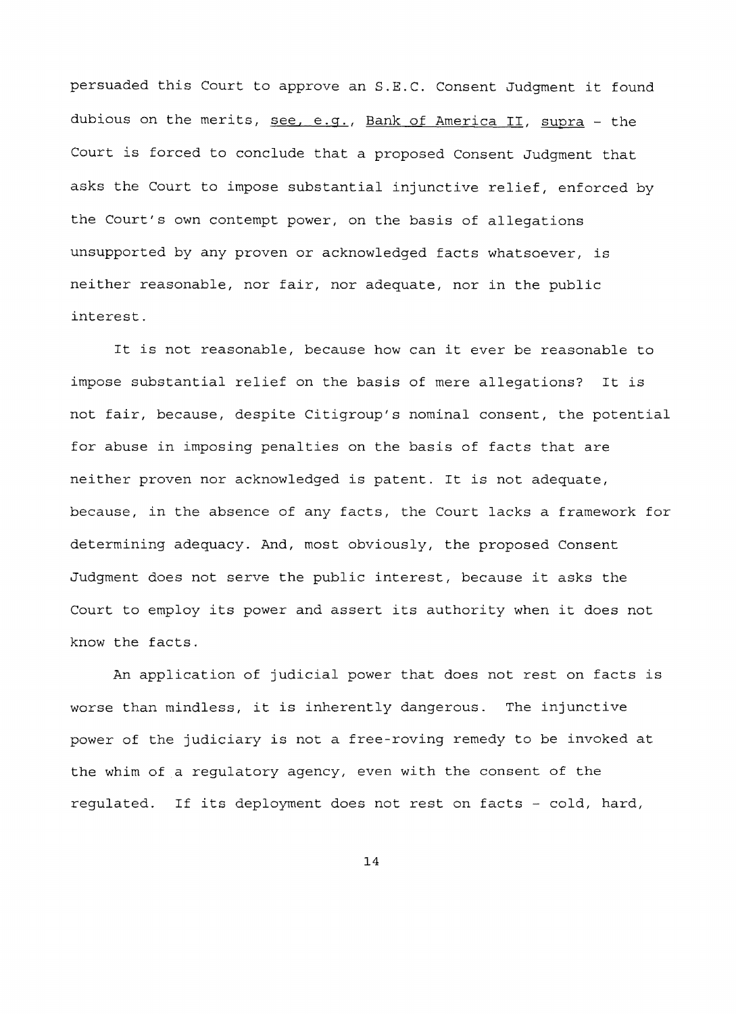persuaded this Court to approve an S.E.C. Consent Judgment it found dubious on the merits, see, e.g., Bank of America II, supra - the Court is forced to conclude that a proposed Consent Judgment that asks the Court to impose substantial injunctive relief, enforced by the Court's own contempt power, on the basis of allegations unsupported by any proven or acknowledged facts whatsoever, is neither reasonable, nor fair, nor adequate, nor in the public interest.

It is not reasonable, because how can it ever be reasonable to impose substantial relief on the basis of mere allegations? It is not fair, because, despite Citigroup's nominal consent, the potential for abuse in imposing penalties on the basis of facts that are neither proven nor acknowledged is patent. It is not adequate, because, in the absence of any facts, the Court lacks a framework for determining adequacy. And, most obviously, the proposed Consent Judgment does not serve the public interest, because it asks the Court to employ its power and assert its authority when it does not know the facts.

An application of judicial power that does not rest on facts is worse than mindless, it is inherently dangerous. The injunctive power of the judiciary is not a free roving remedy to be invoked at the whim of a regulatory agency, even with the consent of the regulated. If its deployment does not rest on facts - cold, hard,